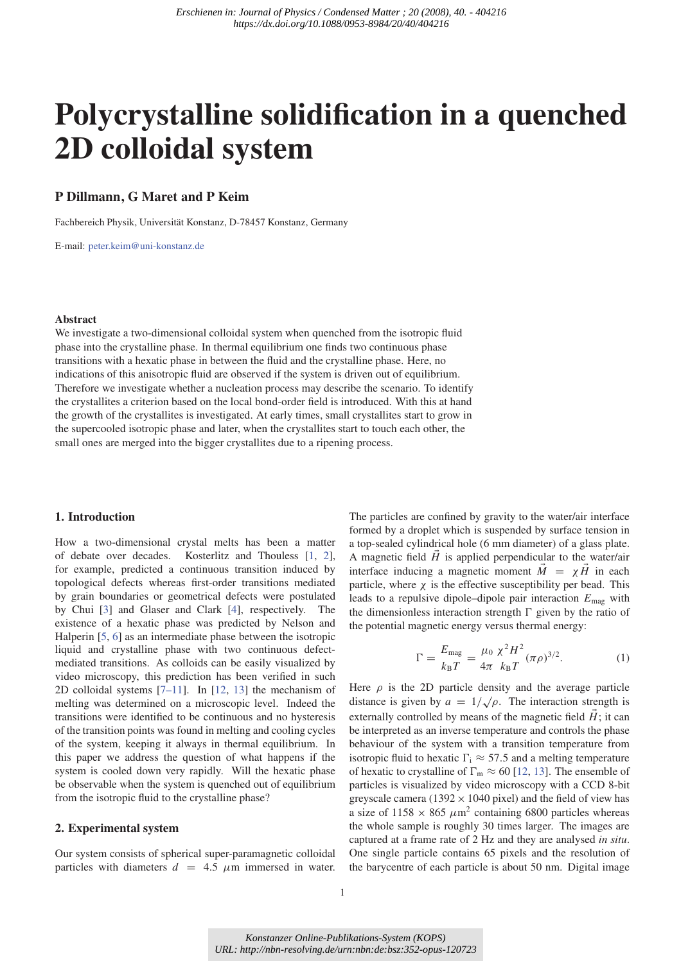# **Polycrystalline solidification in a quenched 2D colloidal system**

# **P Dillmann, G Maret and P Keim**

Fachbereich Physik, Universität Konstanz, D-78457 Konstanz, Germany

E-mail: peter.keim@uni-konstanz.de

# **Abstract**

We investigate a two-dimensional colloidal system when quenched from the isotropic fluid phase into the crystalline phase. In thermal equilibrium one finds two continuous phase transitions with a hexatic phase in between the fluid and the crystalline phase. Here, no indications of this anisotropic fluid are observed if the system is driven out of equilibrium. Therefore we investigate whether a nucleation process may describe the scenario. To identify the crystallites a criterion based on the local bond-order field is introduced. With this at hand the growth of the crystallites is investigated. At early times, small crystallites start to grow in the supercooled isotropic phase and later, when the crystallites start to touch each other, the small ones are merged into the bigger crystallites due to a ripening process.

# **1. Introduction**

How a two-dimensional crystal melts has been a matter of debate over decades. Kosterlitz and Thouless [1, 2], for example, predicted a continuous transition induced by topological defects whereas first-order transitions mediated by grain boundaries or geometrical defects were postulated by Chui [3] and Glaser and Clark [4], respectively. The existence of a hexatic phase was predicted by Nelson and Halperin [5, 6] as an intermediate phase between the isotropic liquid and crystalline phase with two continuous defectmediated transitions. As colloids can be easily visualized by video microscopy, this prediction has been verified in such 2D colloidal systems [7–11]. In [12, 13] the mechanism of melting was determined on a microscopic level. Indeed the transitions were identified to be continuous and no hysteresis of the transition points was found in melting and cooling cycles of the system, keeping it always in thermal equilibrium. In this paper we address the question of what happens if the system is cooled down very rapidly. Will the hexatic phase be observable when the system is quenched out of equilibrium from the isotropic fluid to the crystalline phase?

# **2. Experimental system**

Our system consists of spherical super-paramagnetic colloidal particles with diameters  $d = 4.5 \mu m$  immersed in water. The particles are confined by gravity to the water/air interface formed by a droplet which is suspended by surface tension in a top-sealed cylindrical hole (6 mm diameter) of a glass plate. A magnetic field  $H$  is applied perpendicular to the water/air interface inducing a magnetic moment  $M = \chi H$  in each particle, where  $\chi$  is the effective susceptibility per bead. This leads to a repulsive dipole–dipole pair interaction *E*mag with the dimensionless interaction strength  $\Gamma$  given by the ratio of the potential magnetic energy versus thermal energy:

$$
\Gamma = \frac{E_{\text{mag}}}{k_{\text{B}}T} = \frac{\mu_0 \chi^2 H^2}{4\pi k_{\text{B}}T} (\pi \rho)^{3/2}.
$$
 (1)

Here  $\rho$  is the 2D particle density and the average particle distance is given by  $a = 1/\sqrt{\rho}$ . The interaction strength is externally controlled by means of the magnetic field  $H$ ; it can be interpreted as an inverse temperature and controls the phase behaviour of the system with a transition temperature from isotropic fluid to hexatic  $\Gamma_i \approx 57.5$  and a melting temperature of hexatic to crystalline of  $\Gamma_m \approx 60$  [12, 13]. The ensemble of particles is visualized by video microscopy with a CCD 8-bit greyscale camera (1392  $\times$  1040 pixel) and the field of view has a size of  $1158 \times 865 \ \mu \text{m}^2$  containing 6800 particles whereas the whole sample is roughly 30 times larger. The images are captured at a frame rate of 2 Hz and they are analysed *in situ*. One single particle contains 65 pixels and the resolution of the barycentre of each particle is about 50 nm. Digital image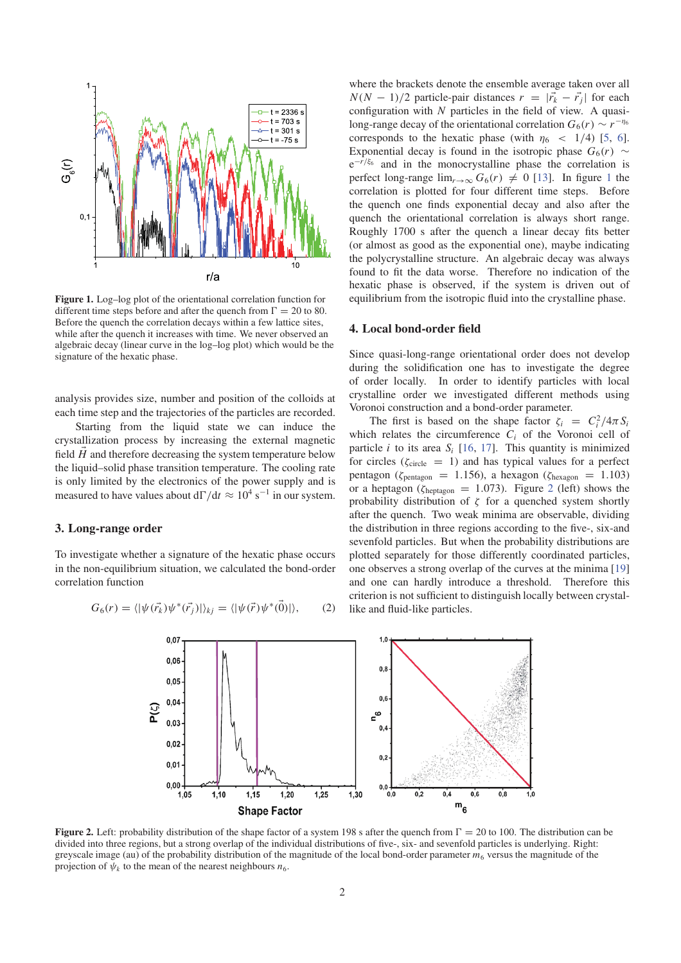

**Figure 1.** Log–log plot of the orientational correlation function for different time steps before and after the quench from  $\Gamma = 20$  to 80. Before the quench the correlation decays within a few lattice sites, while after the quench it increases with time. We never observed an algebraic decay (linear curve in the log–log plot) which would be the signature of the hexatic phase.

analysis provides size, number and position of the colloids at each time step and the trajectories of the particles are recorded.

Starting from the liquid state we can induce the crystallization process by increasing the external magnetic field *H* and therefore decreasing the system temperature below the liquid–solid phase transition temperature. The cooling rate is only limited by the electronics of the power supply and is measured to have values about d $\Gamma/dt \approx 10^4$  s<sup>-1</sup> in our system.

### **3. Long-range order**

To investigate whether a signature of the hexatic phase occurs in the non-equilibrium situation, we calculated the bond-order correlation function

$$
G_6(r) = \langle |\psi(\vec{r_k})\psi^*(\vec{r_j})|\rangle_{kj} = \langle |\psi(\vec{r})\psi^*(\vec{0})|\rangle, \qquad (2)
$$

where the brackets denote the ensemble average taken over all  $N(N - 1)/2$  particle-pair distances  $r = |\vec{r_k} - \vec{r_j}|$  for each configuration with *N* particles in the field of view. A quasilong-range decay of the orientational correlation  $G_6(r) \sim r^{-\eta_6}$ corresponds to the hexatic phase (with  $\eta_6$  < 1/4) [5, 6]. Exponential decay is found in the isotropic phase  $G_6(r) \sim$ e−*r*/ξ<sup>6</sup> and in the monocrystalline phase the correlation is perfect long-range  $\lim_{r\to\infty} G_6(r) \neq 0$  [13]. In figure 1 the correlation is plotted for four different time steps. Before the quench one finds exponential decay and also after the quench the orientational correlation is always short range. Roughly 1700 s after the quench a linear decay fits better (or almost as good as the exponential one), maybe indicating the polycrystalline structure. An algebraic decay was always found to fit the data worse. Therefore no indication of the hexatic phase is observed, if the system is driven out of equilibrium from the isotropic fluid into the crystalline phase.

#### **4. Local bond-order field**

Since quasi-long-range orientational order does not develop during the solidification one has to investigate the degree of order locally. In order to identify particles with local crystalline order we investigated different methods using Voronoi construction and a bond-order parameter.

The first is based on the shape factor  $\zeta_i = C_i^2 / 4\pi S_i$ which relates the circumference  $C_i$  of the Voronoi cell of particle *i* to its area  $S_i$  [16, 17]. This quantity is minimized for circles ( $\zeta_{\text{circle}} = 1$ ) and has typical values for a perfect pentagon ( $\zeta_{\text{pentagon}} = 1.156$ ), a hexagon ( $\zeta_{\text{hexagon}} = 1.103$ ) or a heptagon ( $\zeta_{\text{heptagon}} = 1.073$ ). Figure 2 (left) shows the probability distribution of  $\zeta$  for a quenched system shortly after the quench. Two weak minima are observable, dividing the distribution in three regions according to the five-, six-and sevenfold particles. But when the probability distributions are plotted separately for those differently coordinated particles, one observes a strong overlap of the curves at the minima [19] and one can hardly introduce a threshold. Therefore this criterion is not sufficient to distinguish locally between crystallike and fluid-like particles.



**Figure 2.** Left: probability distribution of the shape factor of a system 198 s after the quench from  $\Gamma = 20$  to 100. The distribution can be divided into three regions, but a strong overlap of the individual distributions of five-, six- and sevenfold particles is underlying. Right: greyscale image (au) of the probability distribution of the magnitude of the local bond-order parameter  $m_6$  versus the magnitude of the projection of  $\psi_k$  to the mean of the nearest neighbours  $n_6$ .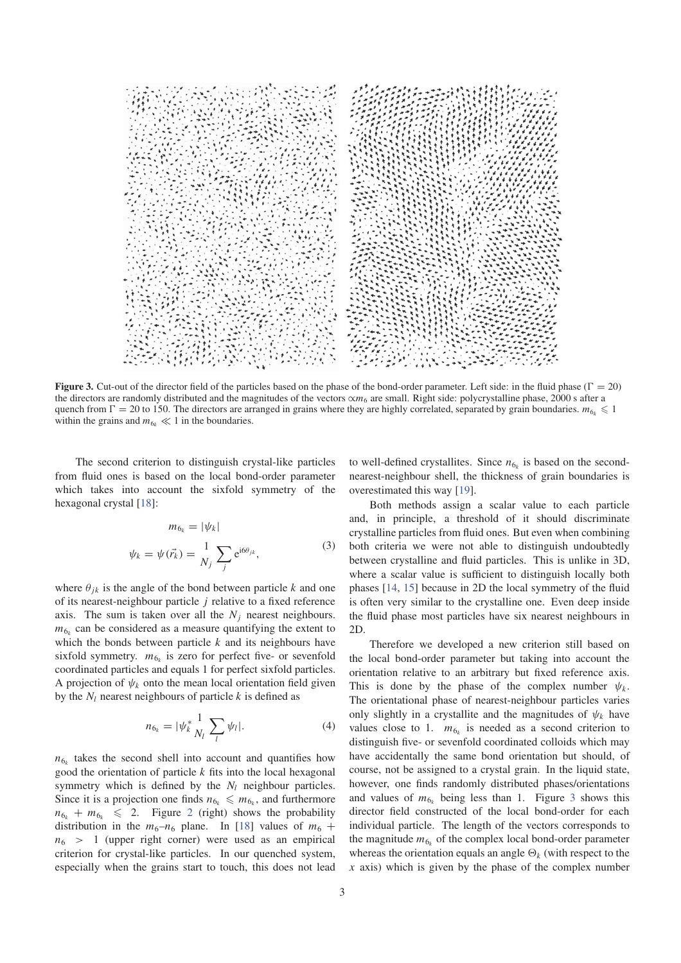

**Figure 3.** Cut-out of the director field of the particles based on the phase of the bond-order parameter. Left side: in the fluid phase ( $\Gamma = 20$ ) the directors are randomly distributed and the magnitudes of the vectors ∝*m*<sup>6</sup> are small. Right side: polycrystalline phase, 2000 s after a quench from  $\Gamma = 20$  to 150. The directors are arranged in grains where they are highly correlated, separated by grain boundaries.  $m_{6k} \leq 1$ within the grains and  $m_{6k} \ll 1$  in the boundaries.

The second criterion to distinguish crystal-like particles from fluid ones is based on the local bond-order parameter which takes into account the sixfold symmetry of the hexagonal crystal [18]:

$$
m_{6_k} = |\psi_k|
$$
  

$$
\psi_k = \psi(\vec{r_k}) = \frac{1}{N_j} \sum_j e^{i6\theta_{jk}},
$$
 (3)

where  $\theta_{jk}$  is the angle of the bond between particle *k* and one of its nearest-neighbour particle *j* relative to a fixed reference axis. The sum is taken over all the  $N_i$  nearest neighbours.  $m<sub>6k</sub>$  can be considered as a measure quantifying the extent to which the bonds between particle *k* and its neighbours have sixfold symmetry.  $m_{6k}$  is zero for perfect five- or sevenfold coordinated particles and equals 1 for perfect sixfold particles. A projection of  $\psi_k$  onto the mean local orientation field given by the  $N_l$  nearest neighbours of particle  $k$  is defined as

$$
n_{6_k} = |\psi_k^* \frac{1}{N_l} \sum_l \psi_l|. \tag{4}
$$

 $n_{6k}$  takes the second shell into account and quantifies how good the orientation of particle *k* fits into the local hexagonal symmetry which is defined by the  $N_l$  neighbour particles. Since it is a projection one finds  $n_{6k} \leq m_{6k}$ , and furthermore  $n_{6k} + m_{6k} \leq 2$ . Figure 2 (right) shows the probability distribution in the  $m_6-n_6$  plane. In [18] values of  $m_6 +$  $n_6 > 1$  (upper right corner) were used as an empirical criterion for crystal-like particles. In our quenched system, especially when the grains start to touch, this does not lead to well-defined crystallites. Since  $n_{6k}$  is based on the secondnearest-neighbour shell, the thickness of grain boundaries is overestimated this way [19].

Both methods assign a scalar value to each particle and, in principle, a threshold of it should discriminate crystalline particles from fluid ones. But even when combining both criteria we were not able to distinguish undoubtedly between crystalline and fluid particles. This is unlike in 3D, where a scalar value is sufficient to distinguish locally both phases [14, 15] because in 2D the local symmetry of the fluid is often very similar to the crystalline one. Even deep inside the fluid phase most particles have six nearest neighbours in 2D.

Therefore we developed a new criterion still based on the local bond-order parameter but taking into account the orientation relative to an arbitrary but fixed reference axis. This is done by the phase of the complex number  $\psi_k$ . The orientational phase of nearest-neighbour particles varies only slightly in a crystallite and the magnitudes of  $\psi_k$  have values close to 1.  $m_{6k}$  is needed as a second criterion to distinguish five- or sevenfold coordinated colloids which may have accidentally the same bond orientation but should, of course, not be assigned to a crystal grain. In the liquid state, however, one finds randomly distributed phases/orientations and values of  $m_{6k}$  being less than 1. Figure 3 shows this director field constructed of the local bond-order for each individual particle. The length of the vectors corresponds to the magnitude  $m_{6k}$  of the complex local bond-order parameter whereas the orientation equals an angle  $\Theta_k$  (with respect to the *x* axis) which is given by the phase of the complex number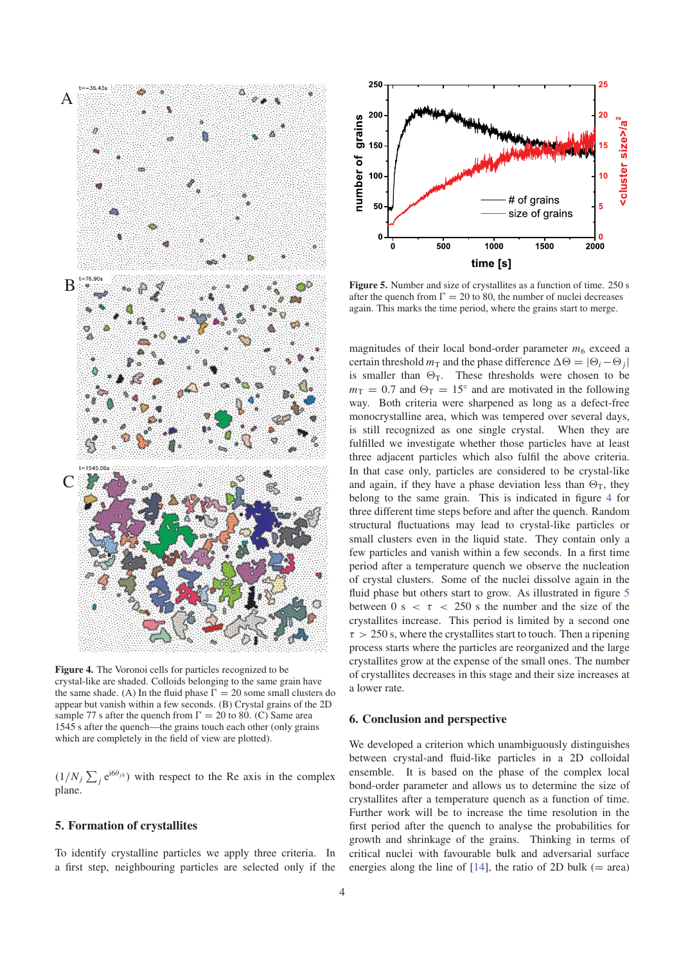

**Figure 4.** The Voronoi cells for particles recognized to be crystal-like are shaded. Colloids belonging to the same grain have the same shade. (A) In the fluid phase  $\Gamma = 20$  some small clusters do appear but vanish within a few seconds. (B) Crystal grains of the 2D sample 77 s after the quench from  $\Gamma = 20$  to 80. (C) Same area 1545 s after the quench—the grains touch each other (only grains which are completely in the field of view are plotted).

 $(1/N_j \sum_j e^{i6\theta_{jk}})$  with respect to the Re axis in the complex plane.

# **5. Formation of crystallites**

To identify crystalline particles we apply three criteria. In a first step, neighbouring particles are selected only if the



Figure 5. Number and size of crystallites as a function of time. 250 s after the quench from  $\Gamma = 20$  to 80, the number of nuclei decreases again. This marks the time period, where the grains start to merge.

magnitudes of their local bond-order parameter  $m_6$  exceed a certain threshold  $m<sub>T</sub>$  and the phase difference  $\Delta \Theta = |\Theta_i - \Theta_j|$ is smaller than  $\Theta_T$ . These thresholds were chosen to be  $m_T = 0.7$  and  $\Theta_T = 15^\circ$  and are motivated in the following way. Both criteria were sharpened as long as a defect-free monocrystalline area, which was tempered over several days, is still recognized as one single crystal. When they are fulfilled we investigate whether those particles have at least three adjacent particles which also fulfil the above criteria. In that case only, particles are considered to be crystal-like and again, if they have a phase deviation less than  $\Theta_T$ , they belong to the same grain. This is indicated in figure 4 for three different time steps before and after the quench. Random structural fluctuations may lead to crystal-like particles or small clusters even in the liquid state. They contain only a few particles and vanish within a few seconds. In a first time period after a temperature quench we observe the nucleation of crystal clusters. Some of the nuclei dissolve again in the fluid phase but others start to grow. As illustrated in figure 5 between 0 s  $\lt \tau \lt 250$  s the number and the size of the crystallites increase. This period is limited by a second one  $\tau > 250$  s, where the crystallites start to touch. Then a ripening process starts where the particles are reorganized and the large crystallites grow at the expense of the small ones. The number of crystallites decreases in this stage and their size increases at a lower rate.

# **6. Conclusion and perspective**

We developed a criterion which unambiguously distinguishes between crystal-and fluid-like particles in a 2D colloidal ensemble. It is based on the phase of the complex local bond-order parameter and allows us to determine the size of crystallites after a temperature quench as a function of time. Further work will be to increase the time resolution in the first period after the quench to analyse the probabilities for growth and shrinkage of the grains. Thinking in terms of critical nuclei with favourable bulk and adversarial surface energies along the line of  $[14]$ , the ratio of 2D bulk (= area)